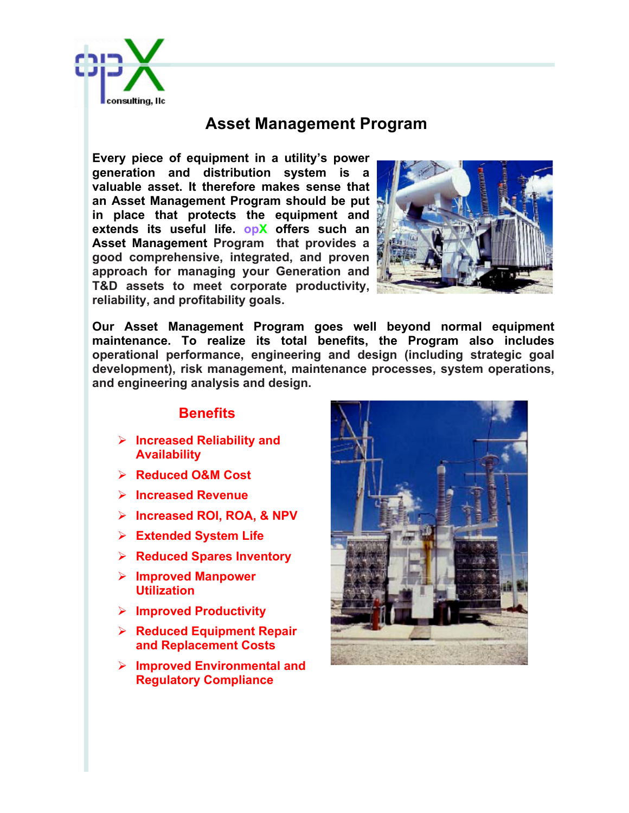

## **Asset Management Program**

**Every piece of equipment in a utility's power generation and distribution system is a valuable asset. It therefore makes sense that an Asset Management Program should be put in place that protects the equipment and extends its useful life. opX offers such an Asset Management Program that provides a good comprehensive, integrated, and proven approach for managing your Generation and T&D assets to meet corporate productivity, reliability, and profitability goals.**



**Our Asset Management Program goes well beyond normal equipment maintenance. To realize its total benefits, the Program also includes operational performance, engineering and design (including strategic goal development), risk management, maintenance processes, system operations, and engineering analysis and design.**

## **Benefits**

- Ø **Increased Reliability and Availability**
- Ø **Reduced O&M Cost**
- Ø **Increased Revenue**
- Ø **Increased ROI, ROA, & NPV**
- Ø **Extended System Life**
- Ø **Reduced Spares Inventory**
- Ø **Improved Manpower Utilization**
- Ø **Improved Productivity**
- Ø **Reduced Equipment Repair and Replacement Costs**
- Ø **Improved Environmental and Regulatory Compliance**